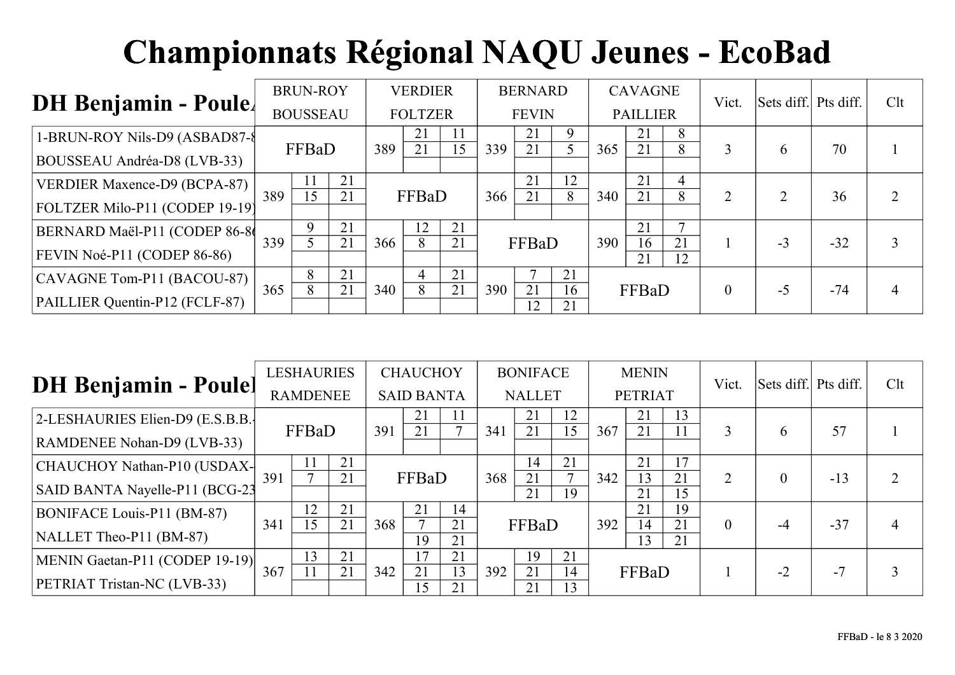| <b>DH Benjamin - Poule.</b>         |     | <b>BRUN-ROY</b> |    |     | <b>VERDIER</b> |    |     | <b>BERNARD</b> |          |     | <b>CAVAGNE</b>  |                | Vict.    | Sets diff. Pts diff. |       | Clt |
|-------------------------------------|-----|-----------------|----|-----|----------------|----|-----|----------------|----------|-----|-----------------|----------------|----------|----------------------|-------|-----|
|                                     |     | <b>BOUSSEAU</b> |    |     | <b>FOLTZER</b> |    |     | <b>FEVIN</b>   |          |     | <b>PAILLIER</b> |                |          |                      |       |     |
| 1-BRUN-ROY Nils-D9 (ASBAD87-8       |     |                 |    |     | 21             |    |     | 21             | 9        |     | 21              | 8              |          |                      |       |     |
| BOUSSEAU Andréa-D8 (LVB-33)         |     | FFBaD           |    | 389 | 21             | 15 | 339 | 21             |          | 365 | 21              | 8              | 3        | h.                   | 70    |     |
| <b>VERDIER Maxence-D9 (BCPA-87)</b> |     |                 | 21 |     |                |    |     | 21             | 12       |     | 21              | $\overline{4}$ |          |                      |       |     |
| FOLTZER Milo-P11 (CODEP 19-19)      | 389 | 15              | 21 |     | FFBaD          |    | 366 | 21             | 8        | 340 | 21              | 8              |          |                      | 36    |     |
| BERNARD Maël-P11 (CODEP 86-8        |     |                 | 21 |     | 12             | 21 |     |                |          |     | 21              |                |          |                      |       |     |
| FEVIN Noé-P11 (CODEP 86-86)         | 339 |                 | 21 | 366 | 8              | 21 |     | FFBaD          |          | 390 | 16<br>21        | 21<br>12       |          | $-3$                 | $-32$ |     |
| CAVAGNE Tom-P11 (BACOU-87)          |     | 8               | 21 |     | 4              | 21 |     |                | 21       |     |                 |                |          |                      |       |     |
| PAILLIER Quentin-P12 (FCLF-87)      | 365 | 8               | 21 | 340 |                | 21 | 390 | 21<br>12       | 16<br>21 |     | FFBaD           |                | $\theta$ | -5                   | $-74$ |     |

|                                   |     | <b>LESHAURIES</b> |                 |     | <b>CHAUCHOY</b>   |          |     | <b>BONIFACE</b> |                    |     | <b>MENIN</b>   |          | Vict.          | Sets diff. Pts diff. |       | Clt |
|-----------------------------------|-----|-------------------|-----------------|-----|-------------------|----------|-----|-----------------|--------------------|-----|----------------|----------|----------------|----------------------|-------|-----|
| <b>DH Benjamin - Poulel</b>       |     | <b>RAMDENEE</b>   |                 |     | <b>SAID BANTA</b> |          |     | <b>NALLET</b>   |                    |     | <b>PETRIAT</b> |          |                |                      |       |     |
| 2-LESHAURIES Elien-D9 (E.S.B.B.   |     |                   |                 |     | 21                |          |     | 21              | 12                 |     | 21             | 13       |                |                      |       |     |
| <b>RAMDENEE Nohan-D9 (LVB-33)</b> |     | FFBaD             |                 | 391 | 21                |          | 341 | 21              | 15                 | 367 | 21             | 11       | 3              | h                    | 57    |     |
| CHAUCHOY Nathan-P10 (USDAX-       |     |                   | 21              |     |                   |          |     | 14              | 21<br>$\mathbf{r}$ |     | 21             | 17       |                |                      |       |     |
| SAID BANTA Nayelle-P11 (BCG-23    | 391 |                   | 21              |     | FFBaD             |          | 368 | 21<br>21        | 19                 | 342 | 13<br>21       | 21<br>15 | $\overline{2}$ |                      | $-13$ | 2   |
| BONIFACE Louis-P11 (BM-87)        |     | 12                | 21              |     | 21                | 14       |     |                 |                    |     | 21             | 19       |                |                      |       |     |
| NALLET Theo-P11 (BM-87)           | 341 | 15                | $\overline{21}$ | 368 | 19                | 21<br>21 |     | FFBaD           |                    | 392 | 14<br>13       | 21<br>21 | $\theta$       |                      | $-37$ | 4   |
| MENIN Gaetan-P11 (CODEP 19-19)    |     | 13                | 21              |     | 17                | 21       |     | 19              | 21                 |     |                |          |                |                      |       |     |
| PETRIAT Tristan-NC (LVB-33)       | 367 |                   | 21              | 342 | 21<br>15          | 13<br>21 | 392 | 21<br>21        | 14<br>13           |     | FFBaD          |          |                | $-2$                 | $-7$  |     |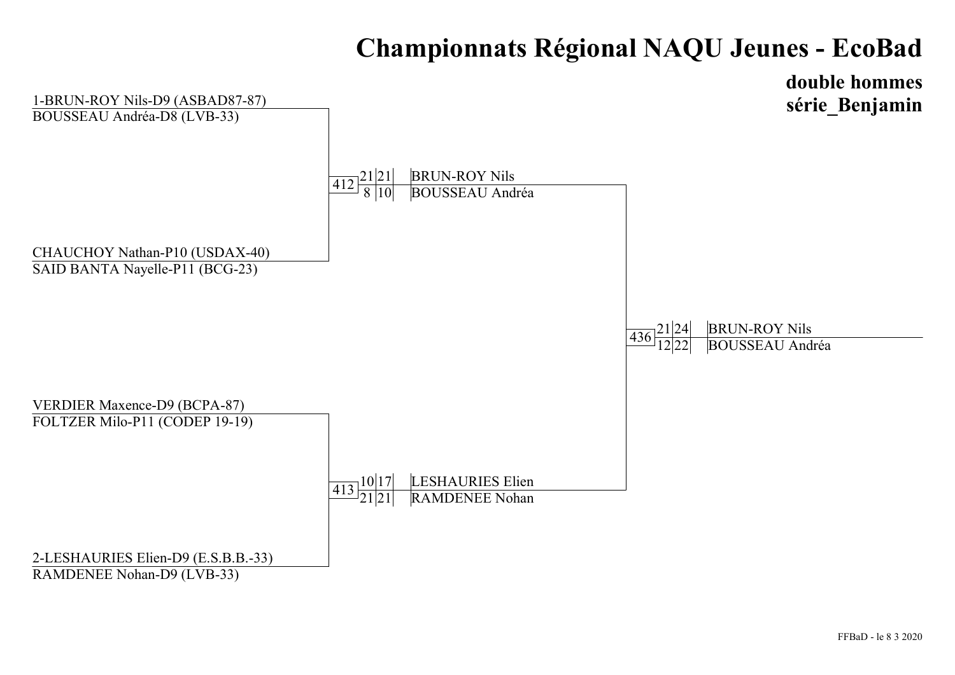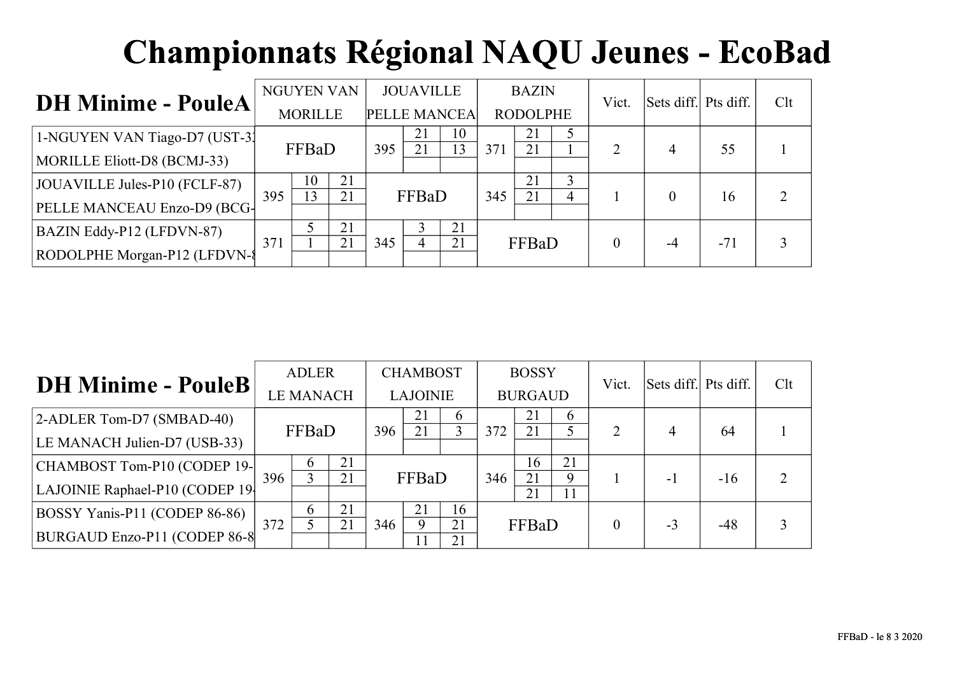| <b>DH Minime - PouleA</b>     |     | NGUYEN VAN           |    |     | <b>JOUAVILLE</b> |                      |     | <b>BAZIN</b>    |   | Vict.    | Sets diff. Pts diff. |       | Clt |
|-------------------------------|-----|----------------------|----|-----|------------------|----------------------|-----|-----------------|---|----------|----------------------|-------|-----|
|                               |     | <b>MORILLE</b>       |    |     |                  | <b>PELLE MANCEA</b>  |     | <b>RODOLPHE</b> |   |          |                      |       |     |
| 1-NGUYEN VAN Tiago-D7 (UST-3) |     | FFBaD<br>395         |    |     | 21<br>21         | 10<br>$\overline{3}$ | 371 | 21<br>21        |   |          | 4                    | 55    |     |
| MORILLE Eliott-D8 (BCMJ-33)   |     |                      |    |     |                  |                      |     |                 |   |          |                      |       |     |
| JOUAVILLE Jules-P10 (FCLF-87) | 395 | 21<br>10<br>13<br>21 |    |     | FFBaD            |                      | 345 | 21<br>21        | 4 |          |                      | 16    |     |
| PELLE MANCEAU Enzo-D9 (BCG-   |     |                      |    |     |                  |                      |     |                 |   |          |                      |       |     |
| BAZIN Eddy-P12 (LFDVN-87)     |     |                      | 21 |     |                  | 21                   |     |                 |   |          |                      |       |     |
| RODOLPHE Morgan-P12 (LFDVN-8) | 371 |                      | 21 | 345 |                  | 21                   |     | FFBaD           |   | $\theta$ | $-4$                 | $-71$ |     |

| <b>DH Minime - PouleB</b>       |     | <b>ADLER</b>     |    |     | <b>CHAMBOST</b> |          |     | <b>BOSSY</b>   |          | Vict.          | Sets diff. Pts diff. |       | Clt            |
|---------------------------------|-----|------------------|----|-----|-----------------|----------|-----|----------------|----------|----------------|----------------------|-------|----------------|
|                                 |     | <b>LE MANACH</b> |    |     | <b>LAJOINIE</b> |          |     | <b>BURGAUD</b> |          |                |                      |       |                |
| 2-ADLER Tom-D7 (SMBAD-40)       |     | FFBaD<br>396     |    |     | 21              | 6        |     | 21             | $\sigma$ |                |                      |       |                |
| LE MANACH Julien-D7 (USB-33)    |     |                  |    |     | 21              |          | 372 | 21             |          | $\overline{2}$ | 4                    | 64    |                |
| CHAMBOST Tom-P10 (CODEP 19-     |     | 21<br>$\sigma$   |    |     |                 |          |     | 16             | 21       |                |                      |       |                |
| LAJOINIE Raphael-P10 (CODEP 19- | 396 |                  | 21 |     | FFBaD           |          | 346 | 21<br>21       | Q<br>11  |                | - 1                  | $-16$ | $\overline{2}$ |
| BOSSY Yanis-P11 (CODEP 86-86)   |     | 21<br>6          |    |     | 21              | 16       |     |                |          |                |                      |       |                |
| BURGAUD Enzo-P11 (CODEP 86-8    | 372 | 21               |    | 346 | $\mathbf Q$     | 21<br>21 |     | FFBaD          |          |                | $-3$                 | $-48$ | 3              |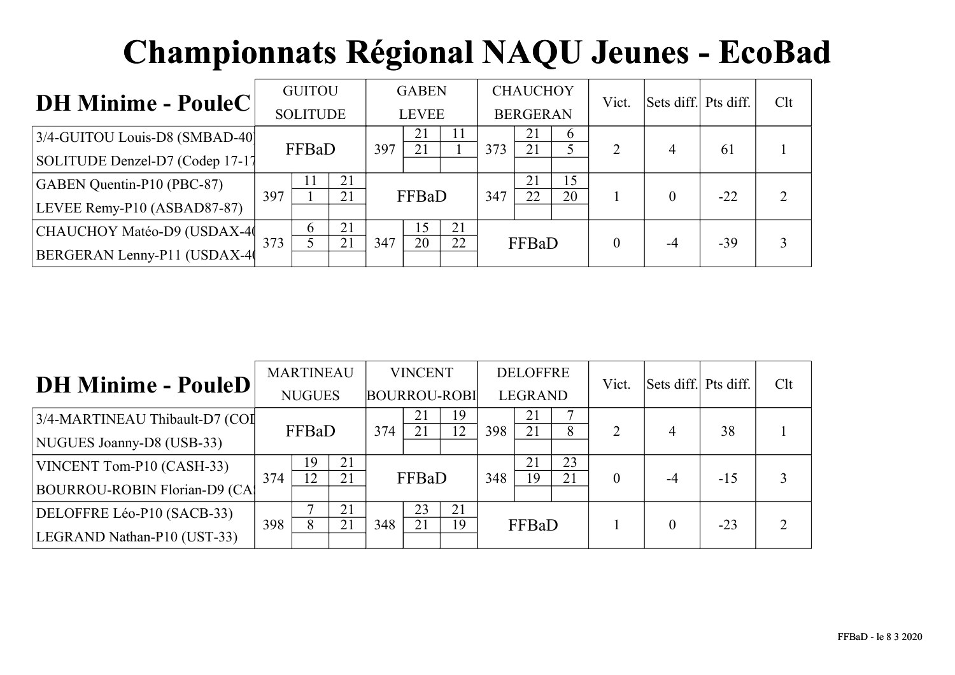| <b>DH Minime - PouleC</b>       |     | <b>GUITOU</b>   |    |     | <b>GABEN</b> |    |     | <b>CHAUCHOY</b> |          | Vict. | Sets diff. Pts diff. |       | Clt |
|---------------------------------|-----|-----------------|----|-----|--------------|----|-----|-----------------|----------|-------|----------------------|-------|-----|
|                                 |     | <b>SOLITUDE</b> |    |     | <b>LEVEE</b> |    |     | <b>BERGERAN</b> |          |       |                      |       |     |
| 3/4-GUITOU Louis-D8 (SMBAD-40)  |     |                 |    | 397 | 21<br>21     | 11 | 373 | 21<br>21        | $\sigma$ |       | 4                    | 61    |     |
| SOLITUDE Denzel-D7 (Codep 17-17 |     | FFBaD           |    |     |              |    |     |                 |          |       |                      |       |     |
| GABEN Quentin-P10 (PBC-87)      | 397 | 21<br>21        |    |     | FFBaD        |    | 347 | 21<br>22        | 15<br>20 |       |                      | $-22$ |     |
| LEVEE Remy-P10 (ASBAD87-87)     |     |                 |    |     |              |    |     |                 |          |       |                      |       |     |
| CHAUCHOY Matéo-D9 (USDAX-40     |     | 6               | 21 |     | .5           | 21 |     |                 |          |       |                      |       |     |
| BERGERAN Lenny-P11 (USDAX-4)    | 373 | 21              |    | 347 | 20           | 22 |     | FFBaD           |          |       | -4                   | $-39$ |     |

|                                      |     | <b>MARTINEAU</b> |    |                     | <b>VINCENT</b> |          |     | <b>DELOFFRE</b> |        | Vict.          | Sets diff. Pts diff. |       | Clt            |
|--------------------------------------|-----|------------------|----|---------------------|----------------|----------|-----|-----------------|--------|----------------|----------------------|-------|----------------|
| <b>DH Minime - PouleD</b>            |     | <b>NUGUES</b>    |    | <b>BOURROU-ROBI</b> |                |          |     | <b>LEGRAND</b>  |        |                |                      |       |                |
| 3/4-MARTINEAU Thibault-D7 (COI       |     | FFBaD<br>374     |    |                     | 21<br>21       | 19<br>12 | 398 | 21<br>21        | ⇁<br>8 | $\overline{2}$ |                      | 38    |                |
| NUGUES Joanny-D8 (USB-33)            |     |                  |    |                     |                |          |     |                 |        |                | 4                    |       |                |
| VINCENT Tom-P10 (CASH-33)            |     | 19               | 21 |                     |                |          |     | 21              | 23     |                |                      |       |                |
| <b>BOURROU-ROBIN Florian-D9 (CA)</b> | 374 | 12               | 21 |                     | FFBaD          |          | 348 | 19              | 21     | $\theta$       | $-4$                 | $-15$ |                |
| DELOFFRE Léo-P10 (SACB-33)           |     |                  | 21 |                     | 23             | 21       |     |                 |        |                |                      |       |                |
| LEGRAND Nathan-P10 (UST-33)          | 398 |                  | 21 | 348                 | 21             | 19       |     | FFBaD           |        |                | $\Omega$             | $-23$ | $\overline{2}$ |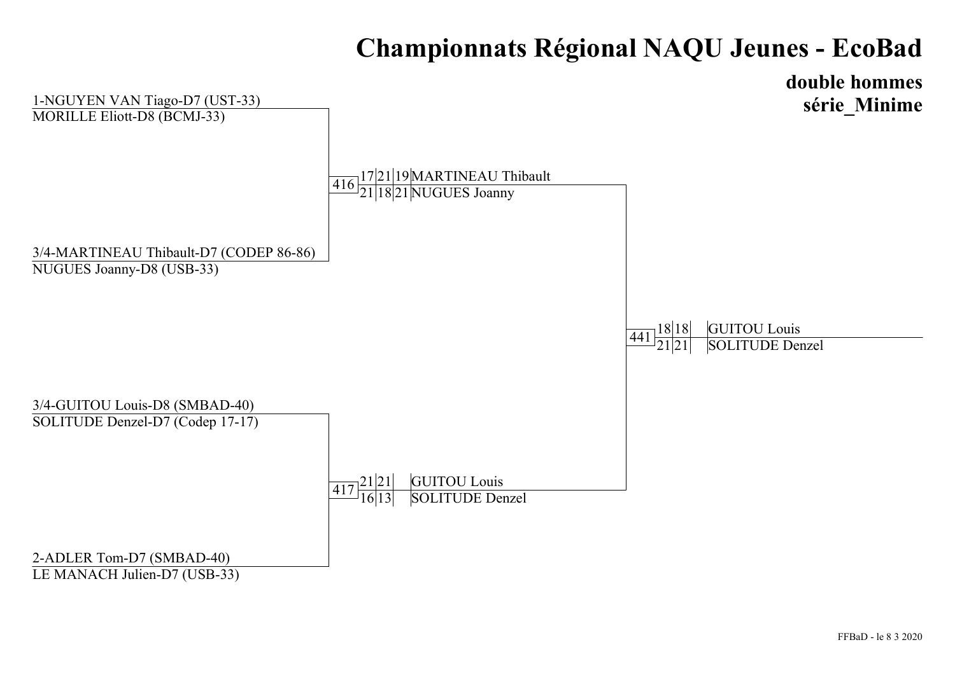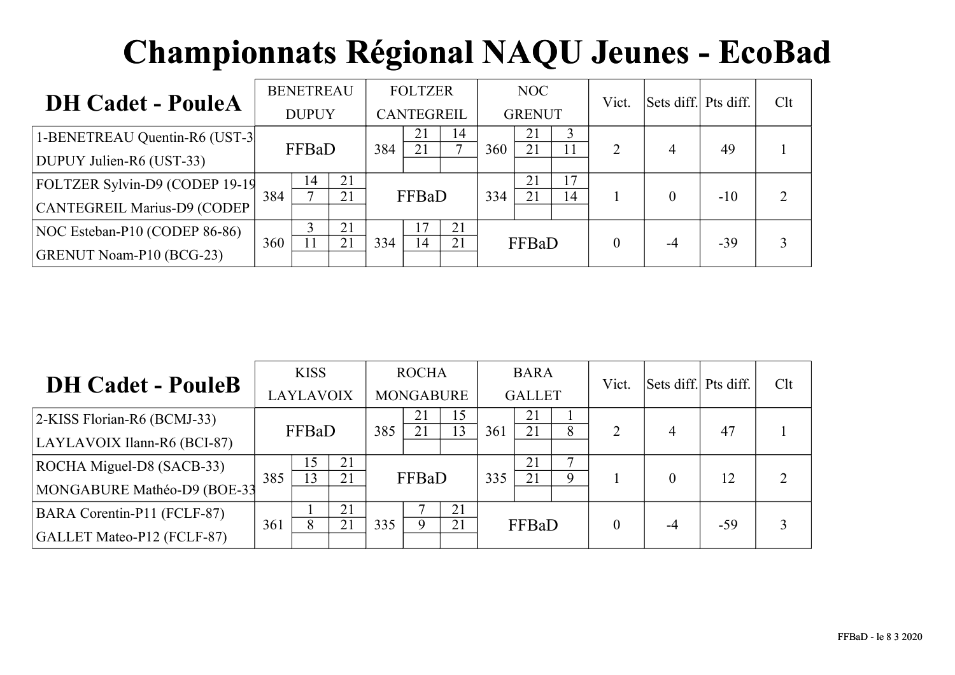|                                |     | <b>BENETREAU</b> |          |     | <b>FOLTZER</b>    |    |     | NOC           |    | Vict.          | Sets diff. Pts diff. |       | Clt            |
|--------------------------------|-----|------------------|----------|-----|-------------------|----|-----|---------------|----|----------------|----------------------|-------|----------------|
| <b>DH Cadet - PouleA</b>       |     | <b>DUPUY</b>     |          |     | <b>CANTEGREIL</b> |    |     | <b>GRENUT</b> |    |                |                      |       |                |
| 1-BENETREAU Quentin-R6 (UST-3) |     | FFBaD<br>384     |          |     | 21<br>21          | 14 | 360 | 21<br>21      |    | $\overline{2}$ |                      | 49    |                |
| DUPUY Julien-R6 (UST-33)       |     |                  |          |     |                   |    |     |               |    |                | 4                    |       |                |
| FOLTZER Sylvin-D9 (CODEP 19-19 | 384 | 14<br>⇁          | 21<br>21 |     | FFBaD             |    |     | 21<br>21      | 17 |                |                      | $-10$ | $\overline{2}$ |
| CANTEGREIL Marius-D9 (CODEP    |     |                  |          |     |                   |    | 334 |               | 14 |                |                      |       |                |
| NOC Esteban-P10 (CODEP 86-86)  |     |                  | 21       |     |                   | 21 |     |               |    |                |                      |       |                |
| GRENUT Noam-P10 (BCG-23)       | 360 |                  | 21       | 334 | 14                | 21 |     | FFBaD         |    |                |                      | $-39$ | 3              |

|                                   |     | <b>KISS</b>  |    |     | <b>ROCHA</b>     |    |     | <b>BARA</b>   |             | Vict. | Sets diff. Pts diff. |       | Clt            |
|-----------------------------------|-----|--------------|----|-----|------------------|----|-----|---------------|-------------|-------|----------------------|-------|----------------|
| <b>DH Cadet - PouleB</b>          |     | LAYLAVOIX    |    |     | <b>MONGABURE</b> |    |     | <b>GALLET</b> |             |       |                      |       |                |
| 2-KISS Florian-R6 (BCMJ-33)       |     | FFBaD<br>385 |    |     | 21               | 15 |     | 21            |             |       |                      |       |                |
| LAYLAVOIX Ilann-R6 (BCI-87)       |     |              |    |     | 21               | 13 | 361 | 21            | 8           | 2     | 4                    | 47    |                |
| ROCHA Miguel-D8 (SACB-33)         |     | 15           | 21 |     |                  |    |     | 21            | −           |       |                      |       |                |
| MONGABURE Mathéo-D9 (BOE-33       | 385 | 13           | 21 |     | FFBaD            |    | 335 | 21            | $\mathbf Q$ |       |                      | 12    | $\overline{2}$ |
| BARA Corentin-P11 (FCLF-87)       |     |              | 21 |     |                  | 21 |     |               |             |       |                      |       |                |
| <b>GALLET Mateo-P12 (FCLF-87)</b> | 361 | 8            | 21 | 335 | 9                | 21 |     | FFBaD         |             |       | -4                   | $-59$ | 3              |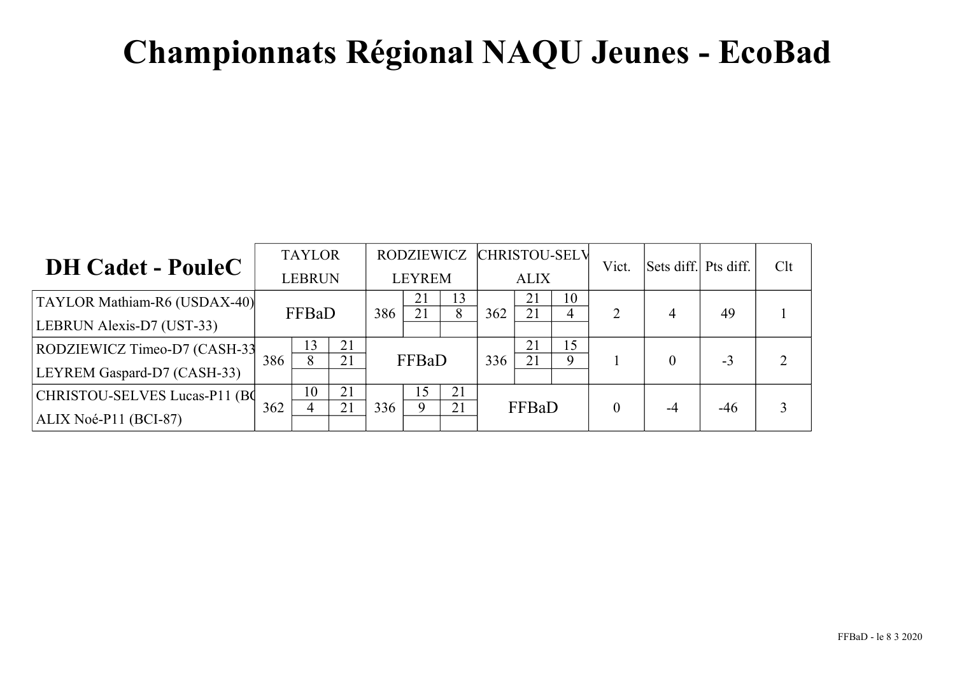| <b>DH Cadet - PouleC</b>      |     | <b>TAYLOR</b> |    |  | RODZIEWICZ    |    |     | <b>CHRISTOU-SELV</b> |             | Vict.                 | Sets diff. Pts diff. |       | Clt |
|-------------------------------|-----|---------------|----|--|---------------|----|-----|----------------------|-------------|-----------------------|----------------------|-------|-----|
|                               |     | <b>LEBRUN</b> |    |  | <b>LEYREM</b> |    |     | <b>ALIX</b>          |             |                       |                      |       |     |
| TAYLOR Mathiam-R6 (USDAX-40)  |     | FFBaD<br>386  |    |  | 21            | 13 |     | 21                   | 10          |                       |                      |       |     |
| LEBRUN Alexis-D7 (UST-33)     |     |               |    |  | 21            | 8  | 362 | 21                   |             | $\mathcal{D}_{\cdot}$ | 4                    | 49    |     |
| RODZIEWICZ Timeo-D7 (CASH-33) |     | 21<br>13      |    |  |               |    |     | 21                   | 15          |                       |                      |       |     |
| LEYREM Gaspard-D7 (CASH-33)   | 386 | 8             | 21 |  | FFBaD         |    | 336 | 21                   | $\mathbf Q$ |                       |                      | $-3$  |     |
| CHRISTOU-SELVES Lucas-P11 (BC |     | 21<br>10      |    |  | 15            | 21 |     |                      |             |                       |                      |       |     |
| $ALIX Noé-P11 (BCI-87)$       | 362 | 21<br>336     |    |  | Q             | 21 |     | FFBaD                |             | 0                     |                      | $-46$ |     |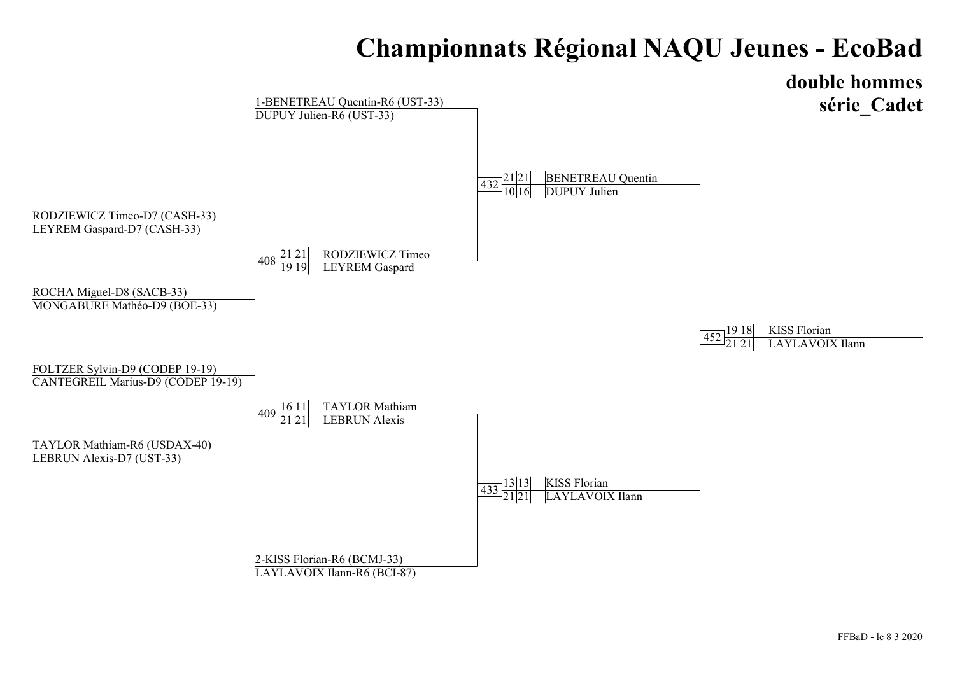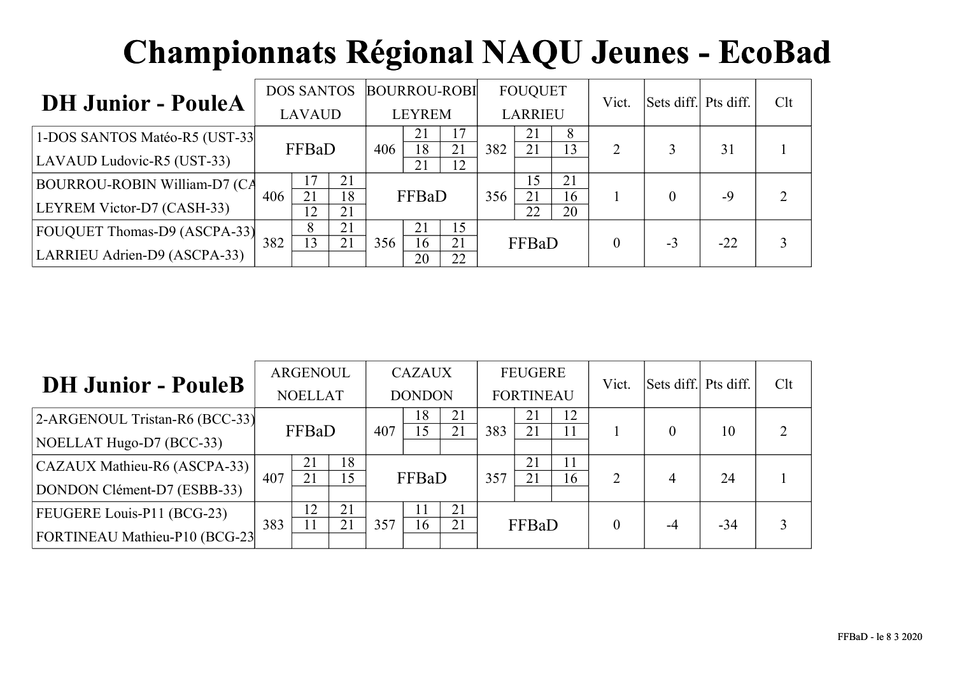|                                     |     | <b>DOS SANTOS</b>    |    |     | <b>BOURROU-ROBI</b> |          |     | <b>FOUQUET</b>  |          | Vict.    | Sets diff. Pts diff. |       | Clt |
|-------------------------------------|-----|----------------------|----|-----|---------------------|----------|-----|-----------------|----------|----------|----------------------|-------|-----|
| <b>DH Junior - PouleA</b>           |     | <b>LAVAUD</b>        |    |     | <b>LEYREM</b>       |          |     | <b>LARRIEU</b>  |          |          |                      |       |     |
| 1-DOS SANTOS Matéo-R5 (UST-33)      |     | FFBaD<br>406         |    |     | 21<br>18            | 17<br>21 | 382 | 21<br>21        | 8<br>13  | 2        |                      | 31    |     |
| LAVAUD Ludovic-R5 (UST-33)          |     |                      |    |     |                     | 12       |     |                 |          |          |                      |       |     |
| <b>BOURROU-ROBIN William-D7 (CA</b> | 406 | 17<br>21<br>18<br>21 |    |     | FFBaD               |          | 356 | <b>15</b><br>21 | 21<br>16 |          |                      | -9    |     |
| LEYREM Victor-D7 (CASH-33)          |     | 12                   | 21 |     |                     |          |     | 22              | 20       |          |                      |       |     |
| <b>FOUQUET Thomas-D9 (ASCPA-33)</b> |     | 21<br>8              |    |     |                     | 15       |     |                 |          |          |                      |       |     |
| LARRIEU Adrien-D9 (ASCPA-33)        | 382 | 21<br>13             |    | 356 | 16<br>20            | 21<br>22 |     | FFBaD           |          | $\theta$ | $-3$                 | $-22$ |     |

|                                |     | ARGENOUL       |          |     | <b>CAZAUX</b> |          |     | <b>FEUGERE</b>   |          | Vict.    | Sets diff. Pts diff. |       | Clt            |
|--------------------------------|-----|----------------|----------|-----|---------------|----------|-----|------------------|----------|----------|----------------------|-------|----------------|
| <b>DH Junior - PouleB</b>      |     | <b>NOELLAT</b> |          |     | <b>DONDON</b> |          |     | <b>FORTINEAU</b> |          |          |                      |       |                |
| 2-ARGENOUL Tristan-R6 (BCC-33) |     | FFBaD<br>407   |          |     | 18<br>15      | 21<br>21 | 383 | 21<br>21         | 12<br>11 |          | 0                    | 10    | $\overline{2}$ |
| NOELLAT Hugo-D7 (BCC-33)       |     |                |          |     |               |          |     |                  |          |          |                      |       |                |
| CAZAUX Mathieu-R6 (ASCPA-33)   |     | 21             | 18       |     |               |          |     | 21               | 11       |          |                      |       |                |
| DONDON Clément-D7 (ESBB-33)    | 407 | 21             | 15       |     | FFBaD         |          | 357 | 21               | 16       | 2        | 4                    | 24    |                |
| FEUGERE Louis-P11 (BCG-23)     |     | 12             | 21<br>21 |     |               | 21       |     |                  |          |          |                      |       |                |
| FORTINEAU Mathieu-P10 (BCG-23  | 383 |                |          | 357 | 16            | 21       |     | FFBaD            |          | $\theta$ | -4                   | $-34$ | 3              |